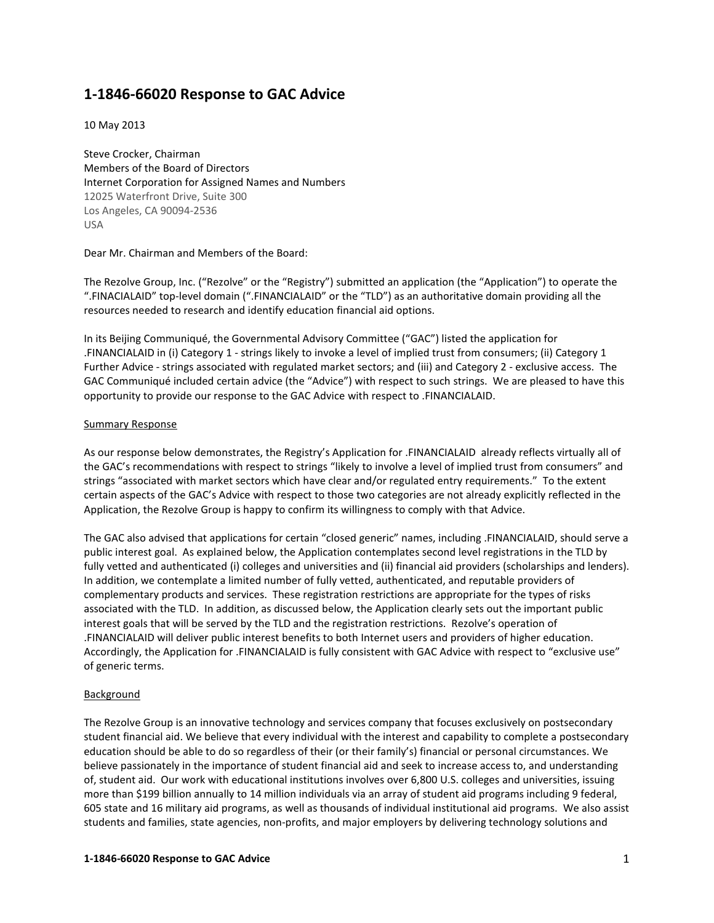# 1-1846-66020 Response to GAC Advice

10 May 2013

Steve Crocker, Chairman Members of the Board of Directors Internet Corporation for Assigned Names and Numbers 12025 Waterfront Drive, Suite 300 Los Angeles, CA 90094-2536 USA

Dear Mr. Chairman and Members of the Board:

The Rezolve Group, Inc. ("Rezolve" or the "Registry") submitted an application (the "Application") to operate the ".FINACIALAID" top-level domain (".FINANCIALAID" or the "TLD") as an authoritative domain providing all the resources needed to research and identify education financial aid options.

In its Beijing Communiqué, the Governmental Advisory Committee ("GAC") listed the application for .FINANCIALAID in (i) Category 1 - strings likely to invoke a level of implied trust from consumers; (ii) Category 1 Further Advice - strings associated with regulated market sectors; and (iii) and Category 2 - exclusive access. The GAC Communiqué included certain advice (the "Advice") with respect to such strings. We are pleased to have this opportunity to provide our response to the GAC Advice with respect to .FINANCIALAID.

#### Summary Response

As our response below demonstrates, the Registry's Application for .FINANCIALAID already reflects virtually all of the GAC's recommendations with respect to strings "likely to involve a level of implied trust from consumers" and strings "associated with market sectors which have clear and/or regulated entry requirements." To the extent certain aspects of the GAC's Advice with respect to those two categories are not already explicitly reflected in the Application, the Rezolve Group is happy to confirm its willingness to comply with that Advice.

The GAC also advised that applications for certain "closed generic" names, including .FINANCIALAID, should serve a public interest goal. As explained below, the Application contemplates second level registrations in the TLD by fully vetted and authenticated (i) colleges and universities and (ii) financial aid providers (scholarships and lenders). In addition, we contemplate a limited number of fully vetted, authenticated, and reputable providers of complementary products and services. These registration restrictions are appropriate for the types of risks associated with the TLD. In addition, as discussed below, the Application clearly sets out the important public interest goals that will be served by the TLD and the registration restrictions. Rezolve's operation of .FINANCIALAID will deliver public interest benefits to both Internet users and providers of higher education. Accordingly, the Application for .FINANCIALAID is fully consistent with GAC Advice with respect to "exclusive use" of generic terms.

### Background

The Rezolve Group is an innovative technology and services company that focuses exclusively on postsecondary student financial aid. We believe that every individual with the interest and capability to complete a postsecondary education should be able to do so regardless of their (or their family's) financial or personal circumstances. We believe passionately in the importance of student financial aid and seek to increase access to, and understanding of, student aid. Our work with educational institutions involves over 6,800 U.S. colleges and universities, issuing more than \$199 billion annually to 14 million individuals via an array of student aid programs including 9 federal, 605 state and 16 military aid programs, as well as thousands of individual institutional aid programs. We also assist students and families, state agencies, non-profits, and major employers by delivering technology solutions and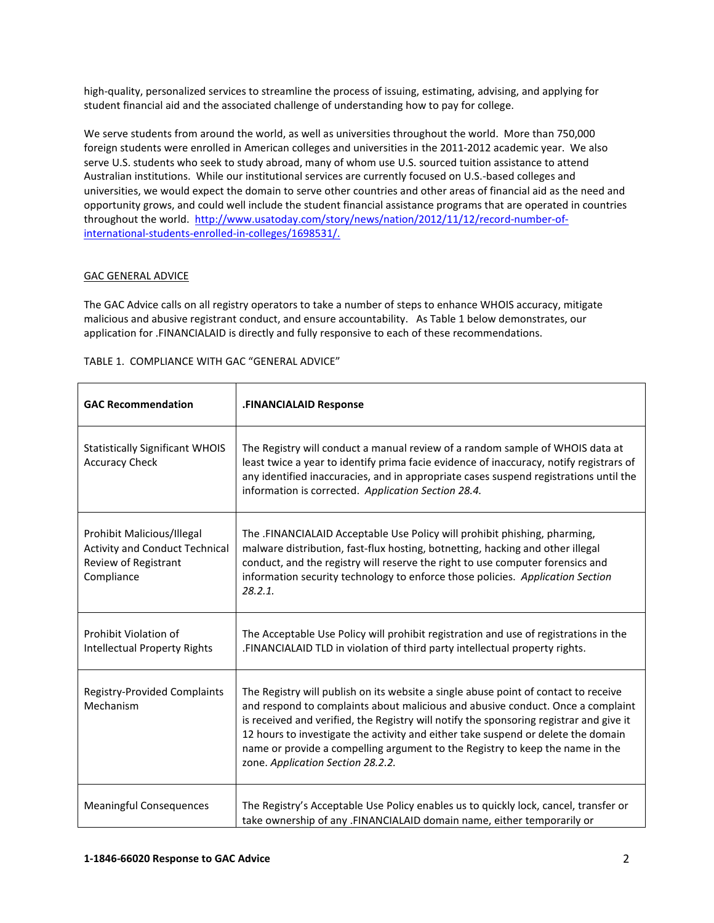high-quality, personalized services to streamline the process of issuing, estimating, advising, and applying for student financial aid and the associated challenge of understanding how to pay for college.

We serve students from around the world, as well as universities throughout the world. More than 750,000 foreign students were enrolled in American colleges and universities in the 2011-2012 academic year. We also serve U.S. students who seek to study abroad, many of whom use U.S. sourced tuition assistance to attend Australian institutions. While our institutional services are currently focused on U.S.-based colleges and universities, we would expect the domain to serve other countries and other areas of financial aid as the need and opportunity grows, and could well include the student financial assistance programs that are operated in countries throughout the world. http://www.usatoday.com/story/news/nation/2012/11/12/record-number-ofinternational-students-enrolled-in-colleges/1698531/.

#### GAC GENERAL ADVICE

The GAC Advice calls on all registry operators to take a number of steps to enhance WHOIS accuracy, mitigate malicious and abusive registrant conduct, and ensure accountability. As Table 1 below demonstrates, our application for .FINANCIALAID is directly and fully responsive to each of these recommendations.

| TABLE 1. COMPLIANCE WITH GAC "GENERAL ADVICE" |  |  |
|-----------------------------------------------|--|--|
|                                               |  |  |

| <b>GAC Recommendation</b>                                                                                 | .FINANCIALAID Response                                                                                                                                                                                                                                                                                                                                                                                                                                                       |
|-----------------------------------------------------------------------------------------------------------|------------------------------------------------------------------------------------------------------------------------------------------------------------------------------------------------------------------------------------------------------------------------------------------------------------------------------------------------------------------------------------------------------------------------------------------------------------------------------|
| <b>Statistically Significant WHOIS</b><br><b>Accuracy Check</b>                                           | The Registry will conduct a manual review of a random sample of WHOIS data at<br>least twice a year to identify prima facie evidence of inaccuracy, notify registrars of<br>any identified inaccuracies, and in appropriate cases suspend registrations until the<br>information is corrected. Application Section 28.4.                                                                                                                                                     |
| Prohibit Malicious/Illegal<br><b>Activity and Conduct Technical</b><br>Review of Registrant<br>Compliance | The .FINANCIALAID Acceptable Use Policy will prohibit phishing, pharming,<br>malware distribution, fast-flux hosting, botnetting, hacking and other illegal<br>conduct, and the registry will reserve the right to use computer forensics and<br>information security technology to enforce those policies. Application Section<br>28.2.1.                                                                                                                                   |
| Prohibit Violation of<br><b>Intellectual Property Rights</b>                                              | The Acceptable Use Policy will prohibit registration and use of registrations in the<br>.FINANCIALAID TLD in violation of third party intellectual property rights.                                                                                                                                                                                                                                                                                                          |
| <b>Registry-Provided Complaints</b><br>Mechanism                                                          | The Registry will publish on its website a single abuse point of contact to receive<br>and respond to complaints about malicious and abusive conduct. Once a complaint<br>is received and verified, the Registry will notify the sponsoring registrar and give it<br>12 hours to investigate the activity and either take suspend or delete the domain<br>name or provide a compelling argument to the Registry to keep the name in the<br>zone. Application Section 28.2.2. |
| <b>Meaningful Consequences</b>                                                                            | The Registry's Acceptable Use Policy enables us to quickly lock, cancel, transfer or<br>take ownership of any .FINANCIALAID domain name, either temporarily or                                                                                                                                                                                                                                                                                                               |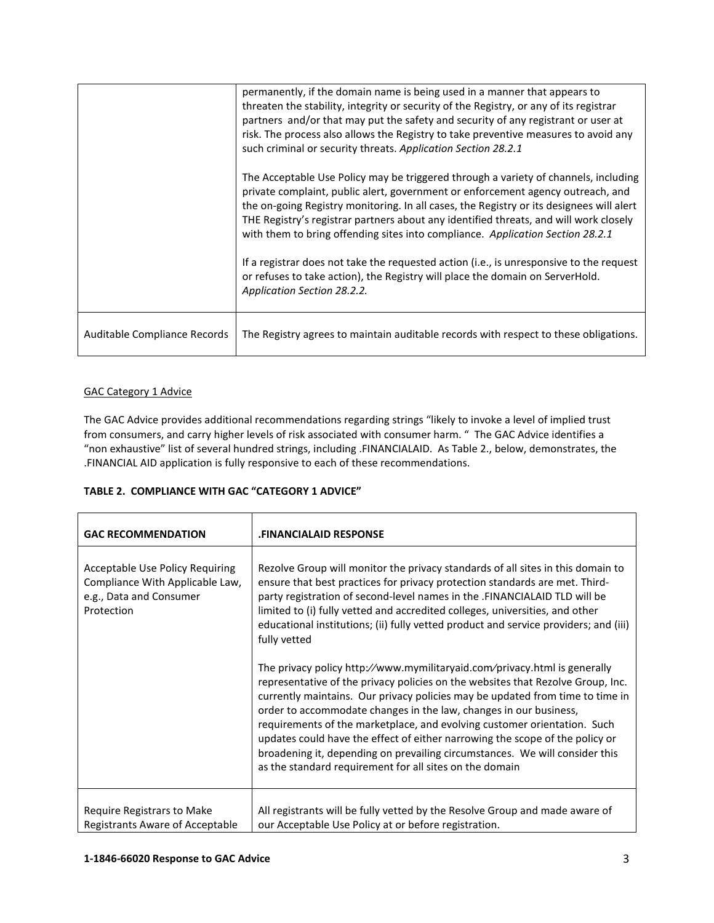|                              | permanently, if the domain name is being used in a manner that appears to<br>threaten the stability, integrity or security of the Registry, or any of its registrar<br>partners and/or that may put the safety and security of any registrant or user at<br>risk. The process also allows the Registry to take preventive measures to avoid any<br>such criminal or security threats. Application Section 28.2.1                                                                                                                                                                                                          |
|------------------------------|---------------------------------------------------------------------------------------------------------------------------------------------------------------------------------------------------------------------------------------------------------------------------------------------------------------------------------------------------------------------------------------------------------------------------------------------------------------------------------------------------------------------------------------------------------------------------------------------------------------------------|
|                              | The Acceptable Use Policy may be triggered through a variety of channels, including<br>private complaint, public alert, government or enforcement agency outreach, and<br>the on-going Registry monitoring. In all cases, the Registry or its designees will alert<br>THE Registry's registrar partners about any identified threats, and will work closely<br>with them to bring offending sites into compliance. Application Section 28.2.1<br>If a registrar does not take the requested action (i.e., is unresponsive to the request<br>or refuses to take action), the Registry will place the domain on ServerHold. |
|                              | Application Section 28.2.2.                                                                                                                                                                                                                                                                                                                                                                                                                                                                                                                                                                                               |
| Auditable Compliance Records | The Registry agrees to maintain auditable records with respect to these obligations.                                                                                                                                                                                                                                                                                                                                                                                                                                                                                                                                      |

## GAC Category 1 Advice

The GAC Advice provides additional recommendations regarding strings "likely to invoke a level of implied trust from consumers, and carry higher levels of risk associated with consumer harm. " The GAC Advice identifies a "non exhaustive" list of several hundred strings, including .FINANCIALAID. As Table 2., below, demonstrates, the .FINANCIAL AID application is fully responsive to each of these recommendations.

### TABLE 2. COMPLIANCE WITH GAC "CATEGORY 1 ADVICE"

| <b>GAC RECOMMENDATION</b>                                                                                   | <b>FINANCIALAID RESPONSE</b>                                                                                                                                                                                                                                                                                                                                                                                                                                                                                                                                                                                             |  |
|-------------------------------------------------------------------------------------------------------------|--------------------------------------------------------------------------------------------------------------------------------------------------------------------------------------------------------------------------------------------------------------------------------------------------------------------------------------------------------------------------------------------------------------------------------------------------------------------------------------------------------------------------------------------------------------------------------------------------------------------------|--|
| Acceptable Use Policy Requiring<br>Compliance With Applicable Law,<br>e.g., Data and Consumer<br>Protection | Rezolve Group will monitor the privacy standards of all sites in this domain to<br>ensure that best practices for privacy protection standards are met. Third-<br>party registration of second-level names in the .FINANCIALAID TLD will be<br>limited to (i) fully vetted and accredited colleges, universities, and other<br>educational institutions; (ii) fully vetted product and service providers; and (iii)<br>fully vetted                                                                                                                                                                                      |  |
|                                                                                                             | The privacy policy http://www.mymilitaryaid.com/privacy.html is generally<br>representative of the privacy policies on the websites that Rezolve Group, Inc.<br>currently maintains. Our privacy policies may be updated from time to time in<br>order to accommodate changes in the law, changes in our business,<br>requirements of the marketplace, and evolving customer orientation. Such<br>updates could have the effect of either narrowing the scope of the policy or<br>broadening it, depending on prevailing circumstances. We will consider this<br>as the standard requirement for all sites on the domain |  |
| Require Registrars to Make<br>Registrants Aware of Acceptable                                               | All registrants will be fully vetted by the Resolve Group and made aware of<br>our Acceptable Use Policy at or before registration.                                                                                                                                                                                                                                                                                                                                                                                                                                                                                      |  |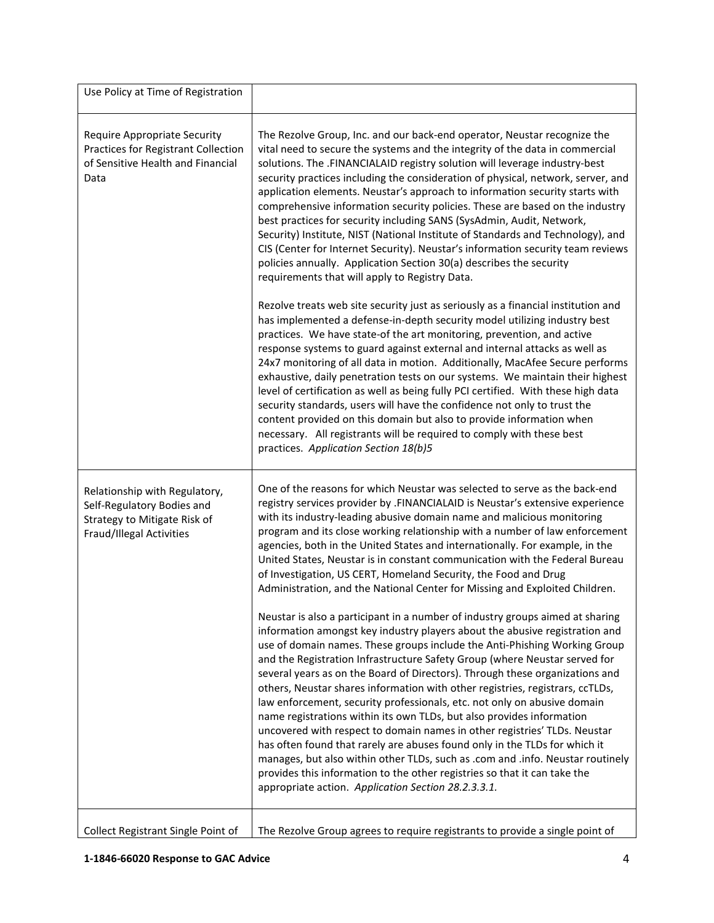| Use Policy at Time of Registration                                                                                      |                                                                                                                                                                                                                                                                                                                                                                                                                                                                                                                                                                                                                                                                                                                                                                                                                                                                                                                                               |
|-------------------------------------------------------------------------------------------------------------------------|-----------------------------------------------------------------------------------------------------------------------------------------------------------------------------------------------------------------------------------------------------------------------------------------------------------------------------------------------------------------------------------------------------------------------------------------------------------------------------------------------------------------------------------------------------------------------------------------------------------------------------------------------------------------------------------------------------------------------------------------------------------------------------------------------------------------------------------------------------------------------------------------------------------------------------------------------|
| <b>Require Appropriate Security</b><br>Practices for Registrant Collection<br>of Sensitive Health and Financial<br>Data | The Rezolve Group, Inc. and our back-end operator, Neustar recognize the<br>vital need to secure the systems and the integrity of the data in commercial<br>solutions. The .FINANCIALAID registry solution will leverage industry-best<br>security practices including the consideration of physical, network, server, and<br>application elements. Neustar's approach to information security starts with<br>comprehensive information security policies. These are based on the industry<br>best practices for security including SANS (SysAdmin, Audit, Network,<br>Security) Institute, NIST (National Institute of Standards and Technology), and<br>CIS (Center for Internet Security). Neustar's information security team reviews<br>policies annually. Application Section 30(a) describes the security<br>requirements that will apply to Registry Data.                                                                            |
|                                                                                                                         | Rezolve treats web site security just as seriously as a financial institution and<br>has implemented a defense-in-depth security model utilizing industry best<br>practices. We have state-of the art monitoring, prevention, and active<br>response systems to guard against external and internal attacks as well as<br>24x7 monitoring of all data in motion. Additionally, MacAfee Secure performs<br>exhaustive, daily penetration tests on our systems. We maintain their highest<br>level of certification as well as being fully PCI certified. With these high data<br>security standards, users will have the confidence not only to trust the<br>content provided on this domain but also to provide information when<br>necessary. All registrants will be required to comply with these best<br>practices. Application Section 18(b)5                                                                                            |
| Relationship with Regulatory,<br>Self-Regulatory Bodies and<br>Strategy to Mitigate Risk of<br>Fraud/Illegal Activities | One of the reasons for which Neustar was selected to serve as the back-end<br>registry services provider by .FINANCIALAID is Neustar's extensive experience<br>with its industry-leading abusive domain name and malicious monitoring<br>program and its close working relationship with a number of law enforcement<br>agencies, both in the United States and internationally. For example, in the<br>United States, Neustar is in constant communication with the Federal Bureau<br>of Investigation, US CERT, Homeland Security, the Food and Drug<br>Administration, and the National Center for Missing and Exploited Children.<br>Neustar is also a participant in a number of industry groups aimed at sharing                                                                                                                                                                                                                        |
|                                                                                                                         | information amongst key industry players about the abusive registration and<br>use of domain names. These groups include the Anti-Phishing Working Group<br>and the Registration Infrastructure Safety Group (where Neustar served for<br>several years as on the Board of Directors). Through these organizations and<br>others, Neustar shares information with other registries, registrars, ccTLDs,<br>law enforcement, security professionals, etc. not only on abusive domain<br>name registrations within its own TLDs, but also provides information<br>uncovered with respect to domain names in other registries' TLDs. Neustar<br>has often found that rarely are abuses found only in the TLDs for which it<br>manages, but also within other TLDs, such as .com and .info. Neustar routinely<br>provides this information to the other registries so that it can take the<br>appropriate action. Application Section 28.2.3.3.1. |
| Collect Registrant Single Point of                                                                                      | The Rezolve Group agrees to require registrants to provide a single point of                                                                                                                                                                                                                                                                                                                                                                                                                                                                                                                                                                                                                                                                                                                                                                                                                                                                  |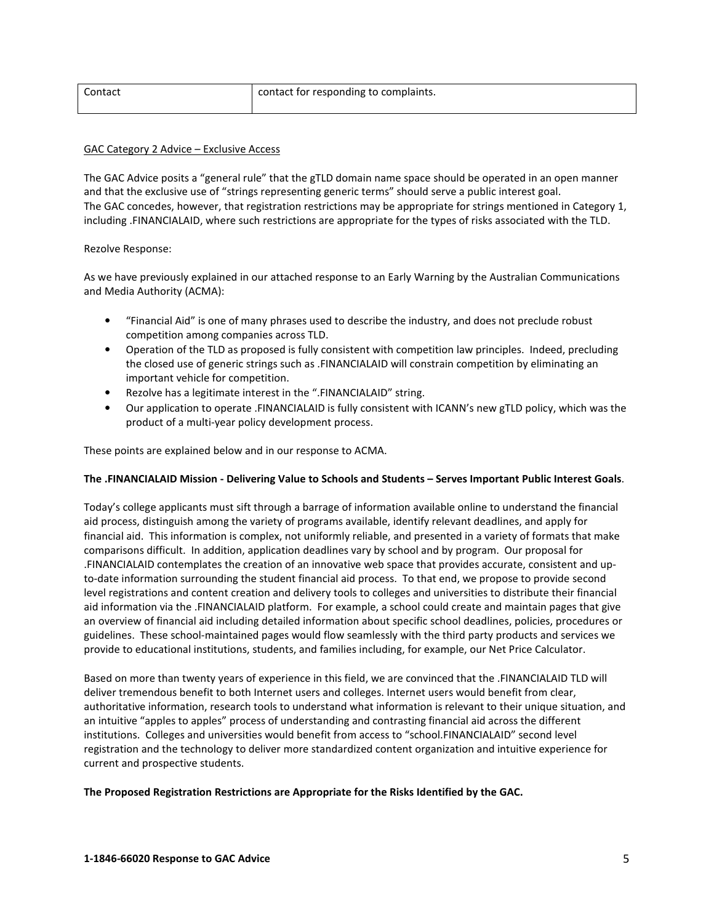| Contact | contact for responding to complaints. |
|---------|---------------------------------------|
|         |                                       |

#### GAC Category 2 Advice – Exclusive Access

The GAC Advice posits a "general rule" that the gTLD domain name space should be operated in an open manner and that the exclusive use of "strings representing generic terms" should serve a public interest goal. The GAC concedes, however, that registration restrictions may be appropriate for strings mentioned in Category 1, including .FINANCIALAID, where such restrictions are appropriate for the types of risks associated with the TLD.

#### Rezolve Response:

As we have previously explained in our attached response to an Early Warning by the Australian Communications and Media Authority (ACMA):

- "Financial Aid" is one of many phrases used to describe the industry, and does not preclude robust competition among companies across TLD.
- Operation of the TLD as proposed is fully consistent with competition law principles. Indeed, precluding the closed use of generic strings such as .FINANCIALAID will constrain competition by eliminating an important vehicle for competition.
- Rezolve has a legitimate interest in the ".FINANCIALAID" string.
- Our application to operate .FINANCIALAID is fully consistent with ICANN's new gTLD policy, which was the product of a multi-year policy development process.

These points are explained below and in our response to ACMA.

#### The .FINANCIALAID Mission - Delivering Value to Schools and Students – Serves Important Public Interest Goals.

Today's college applicants must sift through a barrage of information available online to understand the financial aid process, distinguish among the variety of programs available, identify relevant deadlines, and apply for financial aid. This information is complex, not uniformly reliable, and presented in a variety of formats that make comparisons difficult. In addition, application deadlines vary by school and by program. Our proposal for .FINANCIALAID contemplates the creation of an innovative web space that provides accurate, consistent and upto-date information surrounding the student financial aid process. To that end, we propose to provide second level registrations and content creation and delivery tools to colleges and universities to distribute their financial aid information via the .FINANCIALAID platform. For example, a school could create and maintain pages that give an overview of financial aid including detailed information about specific school deadlines, policies, procedures or guidelines. These school-maintained pages would flow seamlessly with the third party products and services we provide to educational institutions, students, and families including, for example, our Net Price Calculator.

Based on more than twenty years of experience in this field, we are convinced that the .FINANCIALAID TLD will deliver tremendous benefit to both Internet users and colleges. Internet users would benefit from clear, authoritative information, research tools to understand what information is relevant to their unique situation, and an intuitive "apples to apples" process of understanding and contrasting financial aid across the different institutions. Colleges and universities would benefit from access to "school.FINANCIALAID" second level registration and the technology to deliver more standardized content organization and intuitive experience for current and prospective students.

The Proposed Registration Restrictions are Appropriate for the Risks Identified by the GAC.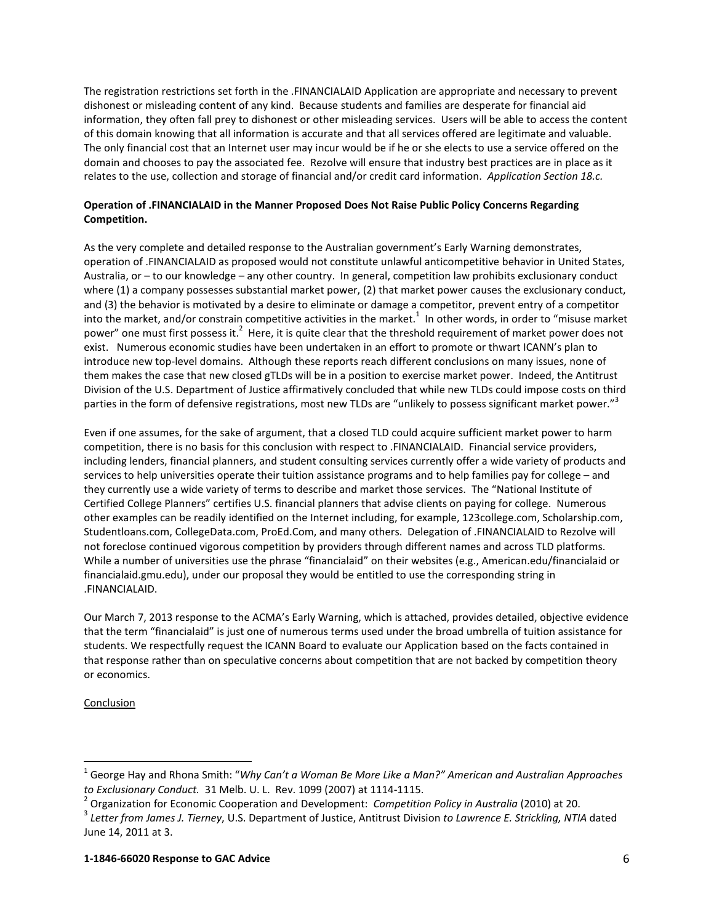The registration restrictions set forth in the .FINANCIALAID Application are appropriate and necessary to prevent dishonest or misleading content of any kind. Because students and families are desperate for financial aid information, they often fall prey to dishonest or other misleading services. Users will be able to access the content of this domain knowing that all information is accurate and that all services offered are legitimate and valuable. The only financial cost that an Internet user may incur would be if he or she elects to use a service offered on the domain and chooses to pay the associated fee. Rezolve will ensure that industry best practices are in place as it relates to the use, collection and storage of financial and/or credit card information. Application Section 18.c.

## Operation of .FINANCIALAID in the Manner Proposed Does Not Raise Public Policy Concerns Regarding Competition.

As the very complete and detailed response to the Australian government's Early Warning demonstrates, operation of .FINANCIALAID as proposed would not constitute unlawful anticompetitive behavior in United States, Australia, or – to our knowledge – any other country. In general, competition law prohibits exclusionary conduct where (1) a company possesses substantial market power, (2) that market power causes the exclusionary conduct, and (3) the behavior is motivated by a desire to eliminate or damage a competitor, prevent entry of a competitor into the market, and/or constrain competitive activities in the market.<sup>1</sup> In other words, in order to "misuse market power" one must first possess it.<sup>2</sup> Here, it is quite clear that the threshold requirement of market power does not exist. Numerous economic studies have been undertaken in an effort to promote or thwart ICANN's plan to introduce new top-level domains. Although these reports reach different conclusions on many issues, none of them makes the case that new closed gTLDs will be in a position to exercise market power. Indeed, the Antitrust Division of the U.S. Department of Justice affirmatively concluded that while new TLDs could impose costs on third parties in the form of defensive registrations, most new TLDs are "unlikely to possess significant market power."<sup>3</sup>

Even if one assumes, for the sake of argument, that a closed TLD could acquire sufficient market power to harm competition, there is no basis for this conclusion with respect to .FINANCIALAID. Financial service providers, including lenders, financial planners, and student consulting services currently offer a wide variety of products and services to help universities operate their tuition assistance programs and to help families pay for college – and they currently use a wide variety of terms to describe and market those services. The "National Institute of Certified College Planners" certifies U.S. financial planners that advise clients on paying for college. Numerous other examples can be readily identified on the Internet including, for example, 123college.com, Scholarship.com, Studentloans.com, CollegeData.com, ProEd.Com, and many others. Delegation of .FINANCIALAID to Rezolve will not foreclose continued vigorous competition by providers through different names and across TLD platforms. While a number of universities use the phrase "financialaid" on their websites (e.g., American.edu/financialaid or financialaid.gmu.edu), under our proposal they would be entitled to use the corresponding string in .FINANCIALAID.

Our March 7, 2013 response to the ACMA's Early Warning, which is attached, provides detailed, objective evidence that the term "financialaid" is just one of numerous terms used under the broad umbrella of tuition assistance for students. We respectfully request the ICANN Board to evaluate our Application based on the facts contained in that response rather than on speculative concerns about competition that are not backed by competition theory or economics.

### Conclusion

 $\ddot{\phantom{a}}$ 

<sup>&</sup>lt;sup>1</sup> George Hay and Rhona Smith: "Why Can't a Woman Be More Like a Man?" American and Australian Approaches

to Exclusionary Conduct. 31 Melb. U. L. Rev. 1099 (2007) at 1114-1115.<br><sup>2</sup> Organization for Economic Cooperation and Development: Competition Policy in Australia (2010) at 20.

<sup>&</sup>lt;sup>3</sup> Letter from James J. Tierney, U.S. Department of Justice, Antitrust Division to Lawrence E. Strickling, NTIA dated June 14, 2011 at 3.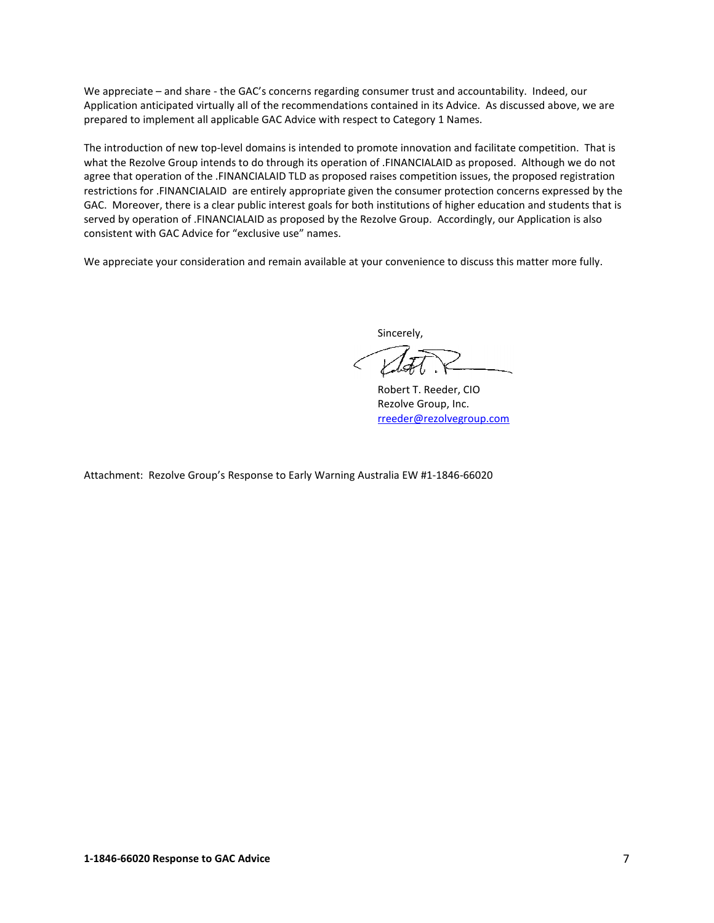We appreciate – and share - the GAC's concerns regarding consumer trust and accountability. Indeed, our Application anticipated virtually all of the recommendations contained in its Advice. As discussed above, we are prepared to implement all applicable GAC Advice with respect to Category 1 Names.

The introduction of new top-level domains is intended to promote innovation and facilitate competition. That is what the Rezolve Group intends to do through its operation of .FINANCIALAID as proposed. Although we do not agree that operation of the .FINANCIALAID TLD as proposed raises competition issues, the proposed registration restrictions for .FINANCIALAID are entirely appropriate given the consumer protection concerns expressed by the GAC. Moreover, there is a clear public interest goals for both institutions of higher education and students that is served by operation of .FINANCIALAID as proposed by the Rezolve Group. Accordingly, our Application is also consistent with GAC Advice for "exclusive use" names.

We appreciate your consideration and remain available at your convenience to discuss this matter more fully.

Sincerely,

Robert T. Reeder, CIO Rezolve Group, Inc. rreeder@rezolvegroup.com

Attachment: Rezolve Group's Response to Early Warning Australia EW #1-1846-66020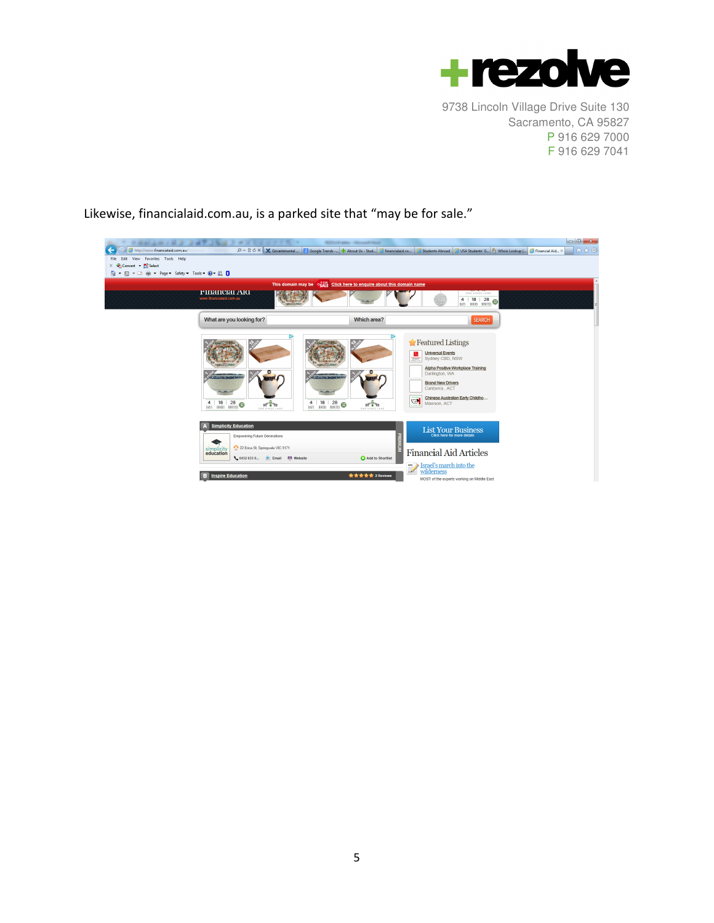

Likewise, financialaid.com.au, is a parked site that "may be for sale."

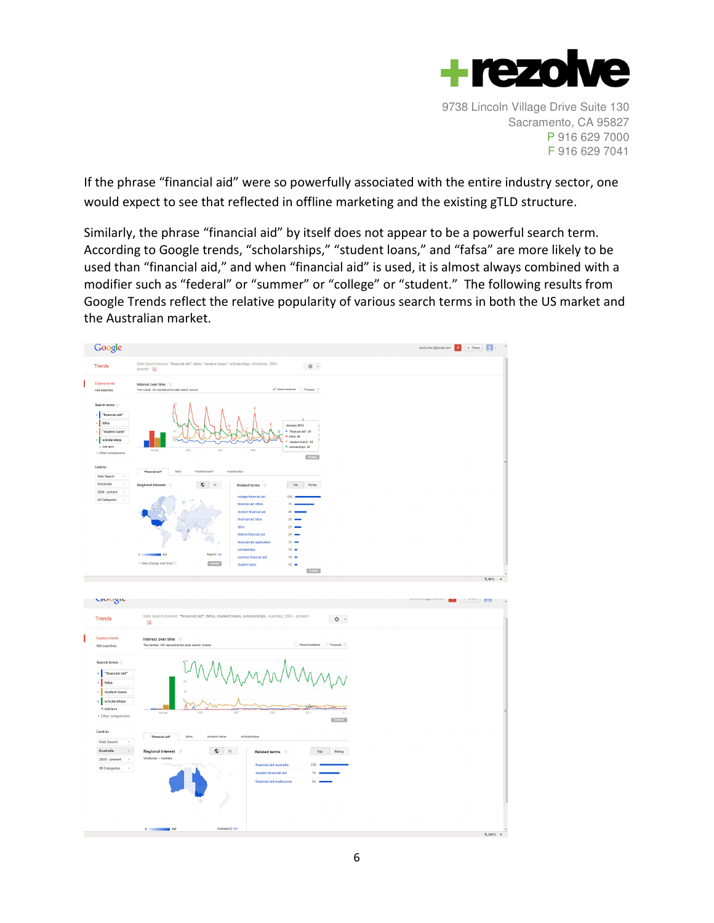

If the phrase "financial aid" were so powerfully associated with the entire industry sector, one would expect to see that reflected in offline marketing and the existing gTLD structure.

Similarly, the phrase "financial aid" by itself does not appear to be a powerful search term. According to Google trends, "scholarships," "student loans," and "fafsa" are more likely to be used than "financial aid," and when "financial aid" is used, it is almost always combined with a modifier such as "federal" or "summer" or "college" or "student." The following results from Google Trends reflect the relative popularity of various search terms in both the US market and the Australian market.

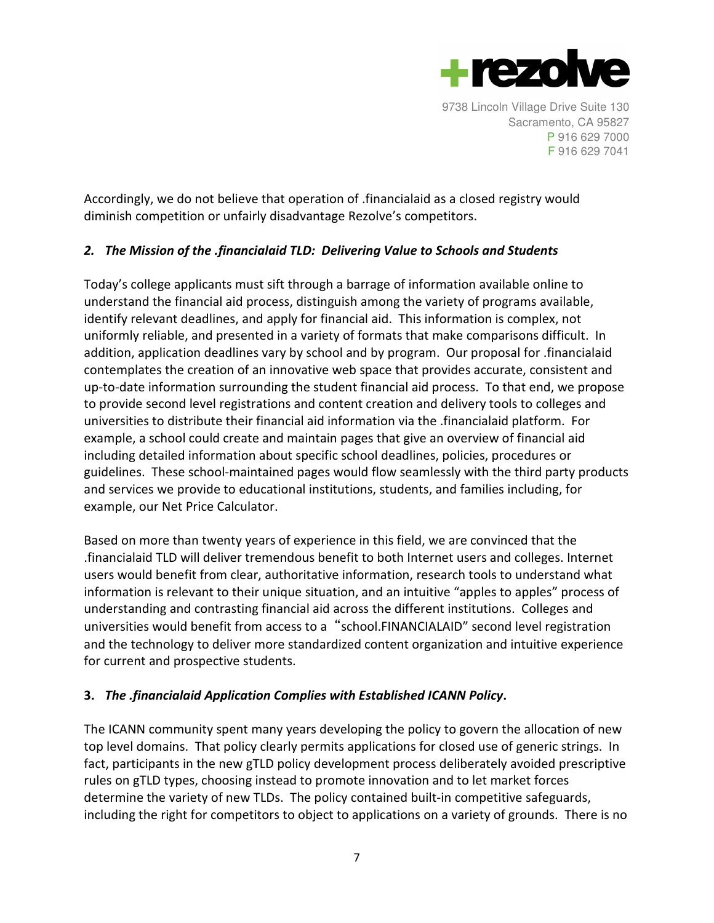

Accordingly, we do not believe that operation of .financialaid as a closed registry would diminish competition or unfairly disadvantage Rezolve's competitors.

# 2. The Mission of the .financialaid TLD: Delivering Value to Schools and Students

Today's college applicants must sift through a barrage of information available online to understand the financial aid process, distinguish among the variety of programs available, identify relevant deadlines, and apply for financial aid. This information is complex, not uniformly reliable, and presented in a variety of formats that make comparisons difficult. In addition, application deadlines vary by school and by program. Our proposal for .financialaid contemplates the creation of an innovative web space that provides accurate, consistent and up-to-date information surrounding the student financial aid process. To that end, we propose to provide second level registrations and content creation and delivery tools to colleges and universities to distribute their financial aid information via the .financialaid platform. For example, a school could create and maintain pages that give an overview of financial aid including detailed information about specific school deadlines, policies, procedures or guidelines. These school-maintained pages would flow seamlessly with the third party products and services we provide to educational institutions, students, and families including, for example, our Net Price Calculator.

Based on more than twenty years of experience in this field, we are convinced that the .financialaid TLD will deliver tremendous benefit to both Internet users and colleges. Internet users would benefit from clear, authoritative information, research tools to understand what information is relevant to their unique situation, and an intuitive "apples to apples" process of understanding and contrasting financial aid across the different institutions. Colleges and universities would benefit from access to a "school.FINANCIALAID" second level registration and the technology to deliver more standardized content organization and intuitive experience for current and prospective students.

## 3. The .financialaid Application Complies with Established ICANN Policy.

The ICANN community spent many years developing the policy to govern the allocation of new top level domains. That policy clearly permits applications for closed use of generic strings. In fact, participants in the new gTLD policy development process deliberately avoided prescriptive rules on gTLD types, choosing instead to promote innovation and to let market forces determine the variety of new TLDs. The policy contained built-in competitive safeguards, including the right for competitors to object to applications on a variety of grounds. There is no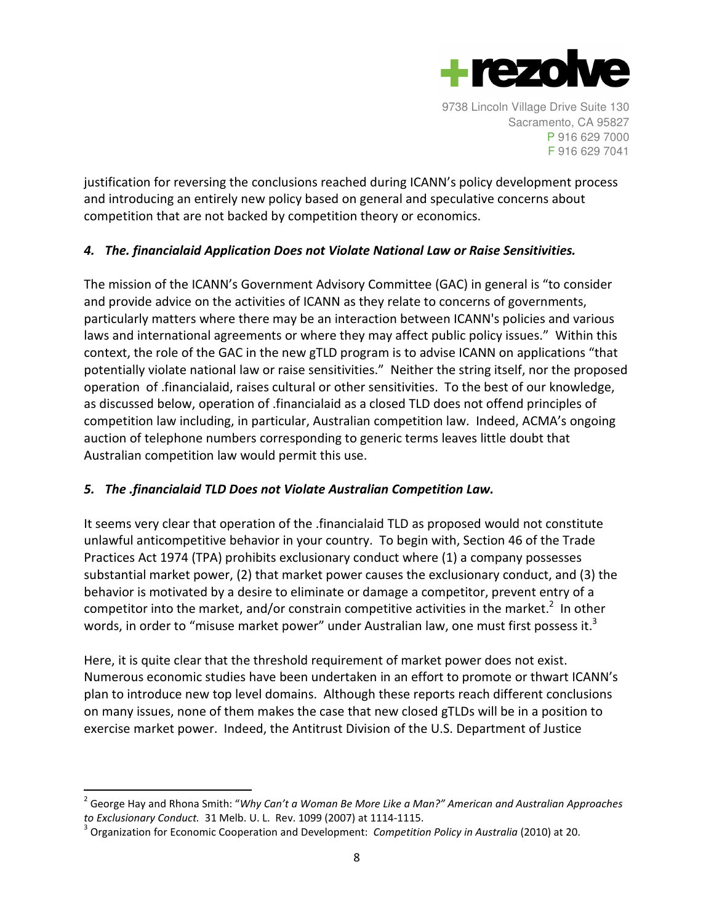

justification for reversing the conclusions reached during ICANN's policy development process and introducing an entirely new policy based on general and speculative concerns about competition that are not backed by competition theory or economics.

# 4. The. financialaid Application Does not Violate National Law or Raise Sensitivities.

The mission of the ICANN's Government Advisory Committee (GAC) in general is "to consider and provide advice on the activities of ICANN as they relate to concerns of governments, particularly matters where there may be an interaction between ICANN's policies and various laws and international agreements or where they may affect public policy issues." Within this context, the role of the GAC in the new gTLD program is to advise ICANN on applications "that potentially violate national law or raise sensitivities." Neither the string itself, nor the proposed operation of .financialaid, raises cultural or other sensitivities. To the best of our knowledge, as discussed below, operation of .financialaid as a closed TLD does not offend principles of competition law including, in particular, Australian competition law. Indeed, ACMA's ongoing auction of telephone numbers corresponding to generic terms leaves little doubt that Australian competition law would permit this use.

## 5. The .financialaid TLD Does not Violate Australian Competition Law.

It seems very clear that operation of the .financialaid TLD as proposed would not constitute unlawful anticompetitive behavior in your country. To begin with, Section 46 of the Trade Practices Act 1974 (TPA) prohibits exclusionary conduct where (1) a company possesses substantial market power, (2) that market power causes the exclusionary conduct, and (3) the behavior is motivated by a desire to eliminate or damage a competitor, prevent entry of a competitor into the market, and/or constrain competitive activities in the market.<sup>2</sup> In other words, in order to "misuse market power" under Australian law, one must first possess it.<sup>3</sup>

Here, it is quite clear that the threshold requirement of market power does not exist. Numerous economic studies have been undertaken in an effort to promote or thwart ICANN's plan to introduce new top level domains. Although these reports reach different conclusions on many issues, none of them makes the case that new closed gTLDs will be in a position to exercise market power. Indeed, the Antitrust Division of the U.S. Department of Justice

 $\overline{a}$ 

<sup>&</sup>lt;sup>2</sup> George Hay and Rhona Smith: "Why Can't a Woman Be More Like a Man?" American and Australian Approaches to Exclusionary Conduct. 31 Melb. U. L. Rev. 1099 (2007) at 1114-1115.

 $3$  Organization for Economic Cooperation and Development: *Competition Policy in Australia* (2010) at 20.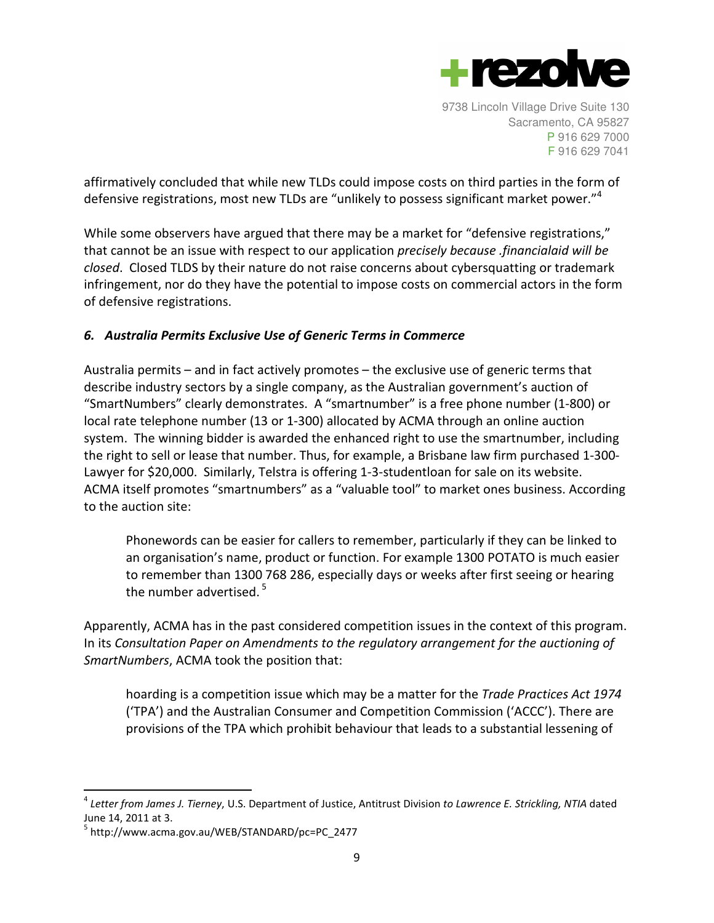

affirmatively concluded that while new TLDs could impose costs on third parties in the form of defensive registrations, most new TLDs are "unlikely to possess significant market power."<sup>4</sup>

While some observers have argued that there may be a market for "defensive registrations," that cannot be an issue with respect to our application precisely because .financialaid will be closed. Closed TLDS by their nature do not raise concerns about cybersquatting or trademark infringement, nor do they have the potential to impose costs on commercial actors in the form of defensive registrations.

## 6. Australia Permits Exclusive Use of Generic Terms in Commerce

Australia permits – and in fact actively promotes – the exclusive use of generic terms that describe industry sectors by a single company, as the Australian government's auction of "SmartNumbers" clearly demonstrates. A "smartnumber" is a free phone number (1-800) or local rate telephone number (13 or 1-300) allocated by ACMA through an online auction system. The winning bidder is awarded the enhanced right to use the smartnumber, including the right to sell or lease that number. Thus, for example, a Brisbane law firm purchased 1-300- Lawyer for \$20,000. Similarly, Telstra is offering 1-3-studentloan for sale on its website. ACMA itself promotes "smartnumbers" as a "valuable tool" to market ones business. According to the auction site:

Phonewords can be easier for callers to remember, particularly if they can be linked to an organisation's name, product or function. For example 1300 POTATO is much easier to remember than 1300 768 286, especially days or weeks after first seeing or hearing the number advertised.<sup>5</sup>

Apparently, ACMA has in the past considered competition issues in the context of this program. In its Consultation Paper on Amendments to the regulatory arrangement for the auctioning of SmartNumbers, ACMA took the position that:

hoarding is a competition issue which may be a matter for the Trade Practices Act 1974 ('TPA') and the Australian Consumer and Competition Commission ('ACCC'). There are provisions of the TPA which prohibit behaviour that leads to a substantial lessening of

 $\overline{a}$ 

 $^4$  Letter from James J. Tierney, U.S. Department of Justice, Antitrust Division to Lawrence E. Strickling, NTIA dated June 14, 2011 at 3.

<sup>&</sup>lt;sup>5</sup> http://www.acma.gov.au/WEB/STANDARD/pc=PC\_2477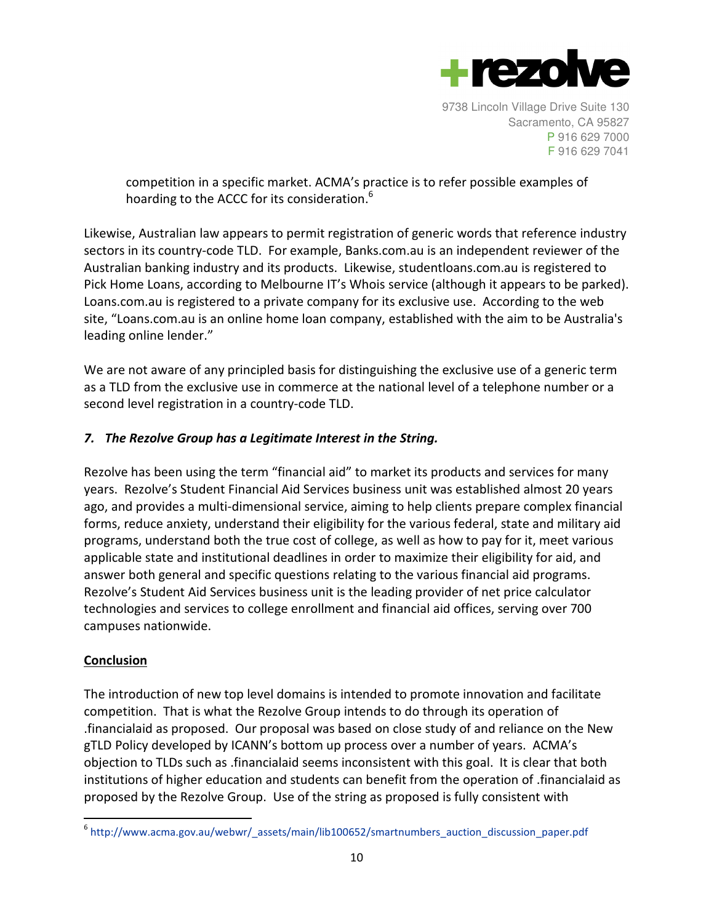

competition in a specific market. ACMA's practice is to refer possible examples of hoarding to the ACCC for its consideration.<sup>6</sup>

Likewise, Australian law appears to permit registration of generic words that reference industry sectors in its country-code TLD. For example, Banks.com.au is an independent reviewer of the Australian banking industry and its products. Likewise, studentloans.com.au is registered to Pick Home Loans, according to Melbourne IT's Whois service (although it appears to be parked). Loans.com.au is registered to a private company for its exclusive use. According to the web site, "Loans.com.au is an online home loan company, established with the aim to be Australia's leading online lender."

We are not aware of any principled basis for distinguishing the exclusive use of a generic term as a TLD from the exclusive use in commerce at the national level of a telephone number or a second level registration in a country-code TLD.

# 7. The Rezolve Group has a Legitimate Interest in the String.

Rezolve has been using the term "financial aid" to market its products and services for many years. Rezolve's Student Financial Aid Services business unit was established almost 20 years ago, and provides a multi-dimensional service, aiming to help clients prepare complex financial forms, reduce anxiety, understand their eligibility for the various federal, state and military aid programs, understand both the true cost of college, as well as how to pay for it, meet various applicable state and institutional deadlines in order to maximize their eligibility for aid, and answer both general and specific questions relating to the various financial aid programs. Rezolve's Student Aid Services business unit is the leading provider of net price calculator technologies and services to college enrollment and financial aid offices, serving over 700 campuses nationwide.

## Conclusion

 $\overline{a}$ 

The introduction of new top level domains is intended to promote innovation and facilitate competition. That is what the Rezolve Group intends to do through its operation of .financialaid as proposed. Our proposal was based on close study of and reliance on the New gTLD Policy developed by ICANN's bottom up process over a number of years. ACMA's objection to TLDs such as .financialaid seems inconsistent with this goal. It is clear that both institutions of higher education and students can benefit from the operation of .financialaid as proposed by the Rezolve Group. Use of the string as proposed is fully consistent with

 $6$  http://www.acma.gov.au/webwr/ assets/main/lib100652/smartnumbers auction discussion paper.pdf